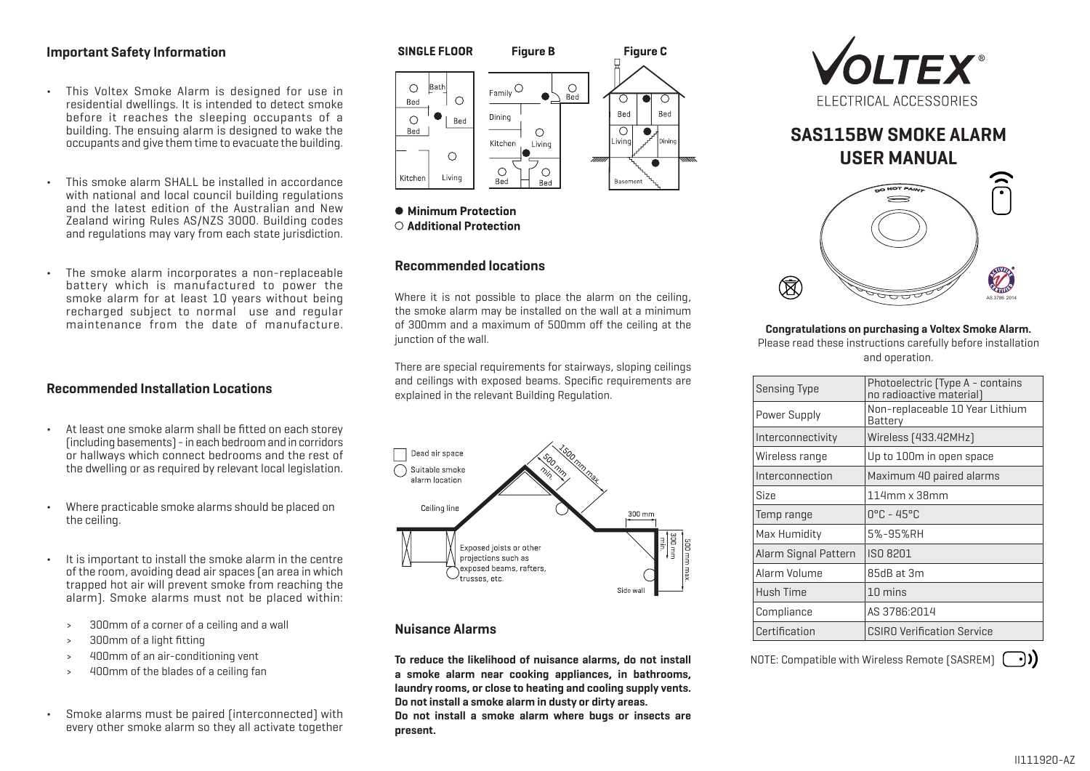# **Important Safety Information**

- ¬ This Voltex Smoke Alarm is designed for use in residential dwellings. It is intended to detect smoke before it reaches the sleeping occupants of a building. The ensuing alarm is designed to wake the occupants and give them time to evacuate the building.
- $\cdot$  This smoke alarm SHALL be installed in accordance with national and local council building regulations and the latest edition of the Australian and New Zealand wiring Rules AS/NZS 3000. Building codes and regulations may vary from each state jurisdiction.
- ¬ The smoke alarm incorporates a non-replaceable battery which is manufactured to power the smoke alarm for at least 10 years without being recharged subject to normal use and regular maintenance from the date of manufacture.

# **Recommended Installation Locations**

- ¬ At least one smoke alarm shall be fitted on each storey (including basements) - in each bedroom and in corridors or hallways which connect bedrooms and the rest of the dwelling or as required by relevant local legislation.
- ¬ Where practicable smoke alarms should be placed on the ceiling.
- ¬ It is important to install the smoke alarm in the centre of the room, avoiding dead air spaces (an area in which trapped hot air will prevent smoke from reaching the alarm). Smoke alarms must not be placed within:
	- › 300mm of a corner of a ceiling and a wall
	- › 300mm of a light fitting
	- › 400mm of an air-conditioning vent
	- › 400mm of the blades of a ceiling fan
- ¬ Smoke alarms must be paired (interconnected) with every other smoke alarm so they all activate together



• Minimum Protection ○ Additional Protection

# **Recommended locations**

Where it is not possible to place the alarm on the ceiling. the smoke alarm may be installed on the wall at a minimum of 300mm and a maximum of 500mm off the ceiling at the junction of the wall.

There are special requirements for stairways, sloping ceilings and ceilings with exposed beams. Specific requirements are explained in the relevant Building Regulation.



# **Nuisance Alarms**

**To reduce the likelihood of nuisance alarms, do not install a smoke alarm near cooking appliances, in bathrooms, laundry rooms, or close to heating and cooling supply vents. Do not install a smoke alarm in dusty or dirty areas. Do not install a smoke alarm where bugs or insects are present.**



# **SAS115BW SMOKE ALARM USER MANUAL**



### **Congratulations on purchasing a Voltex Smoke Alarm.**

Please read these instructions carefully before installation and operation.

| <b>Sensing Type</b>  | Photoelectric (Type A - contains<br>no radioactive material) |  |
|----------------------|--------------------------------------------------------------|--|
| Power Supply         | Non-replaceable 10 Year Lithium<br>Battery                   |  |
| Interconnectivity    | Wireless [433.42MHz]                                         |  |
| Wireless range       | Up to 100m in open space                                     |  |
| Interconnection      | Maximum 40 paired alarms                                     |  |
| <b>Size</b>          | $114$ mm x 38mm                                              |  |
| Temp range           | $0^{\circ}$ C - 45°C                                         |  |
| Max Humidity         | 5%-95%RH                                                     |  |
| Alarm Signal Pattern | ISO 8201                                                     |  |
| Alarm Volume         | 85dB at 3m                                                   |  |
| Hush Time            | 10 mins                                                      |  |
| Compliance           | AS 3786:2014                                                 |  |
| Certification        | <b>CSIRO Verification Service</b>                            |  |

NOTE: Compatible with Wireless Remote (SASREM)